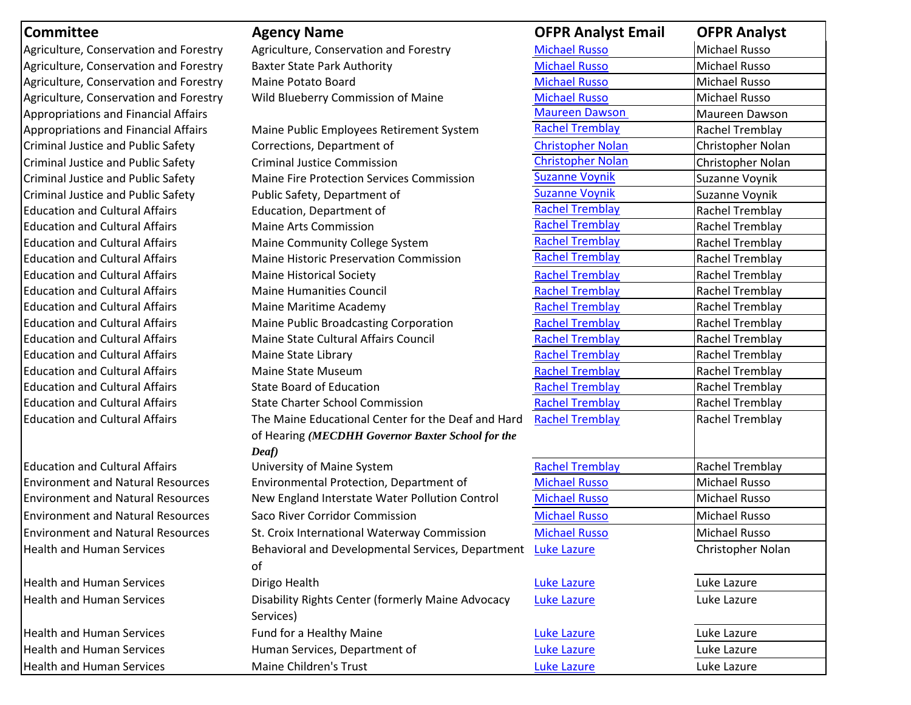| <b>Committee</b>                            | <b>Agency Name</b>                                             | <b>OFPR Analyst Email</b> | <b>OFPR Analyst</b>  |
|---------------------------------------------|----------------------------------------------------------------|---------------------------|----------------------|
| Agriculture, Conservation and Forestry      | Agriculture, Conservation and Forestry                         | <b>Michael Russo</b>      | Michael Russo        |
| Agriculture, Conservation and Forestry      | <b>Baxter State Park Authority</b>                             | <b>Michael Russo</b>      | <b>Michael Russo</b> |
| Agriculture, Conservation and Forestry      | Maine Potato Board                                             | <b>Michael Russo</b>      | Michael Russo        |
| Agriculture, Conservation and Forestry      | Wild Blueberry Commission of Maine                             | <b>Michael Russo</b>      | <b>Michael Russo</b> |
| <b>Appropriations and Financial Affairs</b> |                                                                | <b>Maureen Dawson</b>     | Maureen Dawson       |
| <b>Appropriations and Financial Affairs</b> | Maine Public Employees Retirement System                       | <b>Rachel Tremblay</b>    | Rachel Tremblay      |
| Criminal Justice and Public Safety          | Corrections, Department of                                     | <b>Christopher Nolan</b>  | Christopher Nolan    |
| Criminal Justice and Public Safety          | <b>Criminal Justice Commission</b>                             | <b>Christopher Nolan</b>  | Christopher Nolan    |
| Criminal Justice and Public Safety          | <b>Maine Fire Protection Services Commission</b>               | <b>Suzanne Voynik</b>     | Suzanne Voynik       |
| Criminal Justice and Public Safety          | Public Safety, Department of                                   | <b>Suzanne Voynik</b>     | Suzanne Voynik       |
| <b>Education and Cultural Affairs</b>       | Education, Department of                                       | <b>Rachel Tremblay</b>    | Rachel Tremblay      |
| <b>Education and Cultural Affairs</b>       | <b>Maine Arts Commission</b>                                   | <b>Rachel Tremblay</b>    | Rachel Tremblay      |
| <b>Education and Cultural Affairs</b>       | Maine Community College System                                 | <b>Rachel Tremblay</b>    | Rachel Tremblay      |
| <b>Education and Cultural Affairs</b>       | <b>Maine Historic Preservation Commission</b>                  | <b>Rachel Tremblay</b>    | Rachel Tremblay      |
| <b>Education and Cultural Affairs</b>       | <b>Maine Historical Society</b>                                | <b>Rachel Tremblay</b>    | Rachel Tremblay      |
| <b>Education and Cultural Affairs</b>       | <b>Maine Humanities Council</b>                                | <b>Rachel Tremblay</b>    | Rachel Tremblay      |
| <b>Education and Cultural Affairs</b>       | Maine Maritime Academy                                         | <b>Rachel Tremblay</b>    | Rachel Tremblay      |
| <b>Education and Cultural Affairs</b>       | Maine Public Broadcasting Corporation                          | <b>Rachel Tremblay</b>    | Rachel Tremblay      |
| <b>Education and Cultural Affairs</b>       | Maine State Cultural Affairs Council                           | <b>Rachel Tremblay</b>    | Rachel Tremblay      |
| <b>Education and Cultural Affairs</b>       | Maine State Library                                            | <b>Rachel Tremblay</b>    | Rachel Tremblay      |
| <b>Education and Cultural Affairs</b>       | Maine State Museum                                             | <b>Rachel Tremblay</b>    | Rachel Tremblay      |
| <b>Education and Cultural Affairs</b>       | <b>State Board of Education</b>                                | <b>Rachel Tremblay</b>    | Rachel Tremblay      |
| <b>Education and Cultural Affairs</b>       | <b>State Charter School Commission</b>                         | <b>Rachel Tremblay</b>    | Rachel Tremblay      |
| <b>Education and Cultural Affairs</b>       | The Maine Educational Center for the Deaf and Hard             | <b>Rachel Tremblay</b>    | Rachel Tremblay      |
|                                             | of Hearing (MECDHH Governor Baxter School for the              |                           |                      |
| <b>Education and Cultural Affairs</b>       | Deaf)<br>University of Maine System                            | <b>Rachel Tremblay</b>    | Rachel Tremblay      |
| <b>Environment and Natural Resources</b>    | Environmental Protection, Department of                        | <b>Michael Russo</b>      | Michael Russo        |
| <b>Environment and Natural Resources</b>    | New England Interstate Water Pollution Control                 | <b>Michael Russo</b>      | <b>Michael Russo</b> |
| <b>Environment and Natural Resources</b>    | Saco River Corridor Commission                                 | <b>Michael Russo</b>      | <b>Michael Russo</b> |
| <b>Environment and Natural Resources</b>    | St. Croix International Waterway Commission                    | <b>Michael Russo</b>      | Michael Russo        |
| <b>Health and Human Services</b>            | Behavioral and Developmental Services, Department              | <b>Luke Lazure</b>        | Christopher Nolan    |
|                                             | of                                                             |                           |                      |
| <b>Health and Human Services</b>            | Dirigo Health                                                  | <b>Luke Lazure</b>        | Luke Lazure          |
| <b>Health and Human Services</b>            | Disability Rights Center (formerly Maine Advocacy<br>Services) | <b>Luke Lazure</b>        | Luke Lazure          |
| <b>Health and Human Services</b>            | Fund for a Healthy Maine                                       | <b>Luke Lazure</b>        | Luke Lazure          |
| <b>Health and Human Services</b>            | Human Services, Department of                                  | <b>Luke Lazure</b>        | Luke Lazure          |
| <b>Health and Human Services</b>            | Maine Children's Trust                                         | <b>Luke Lazure</b>        | Luke Lazure          |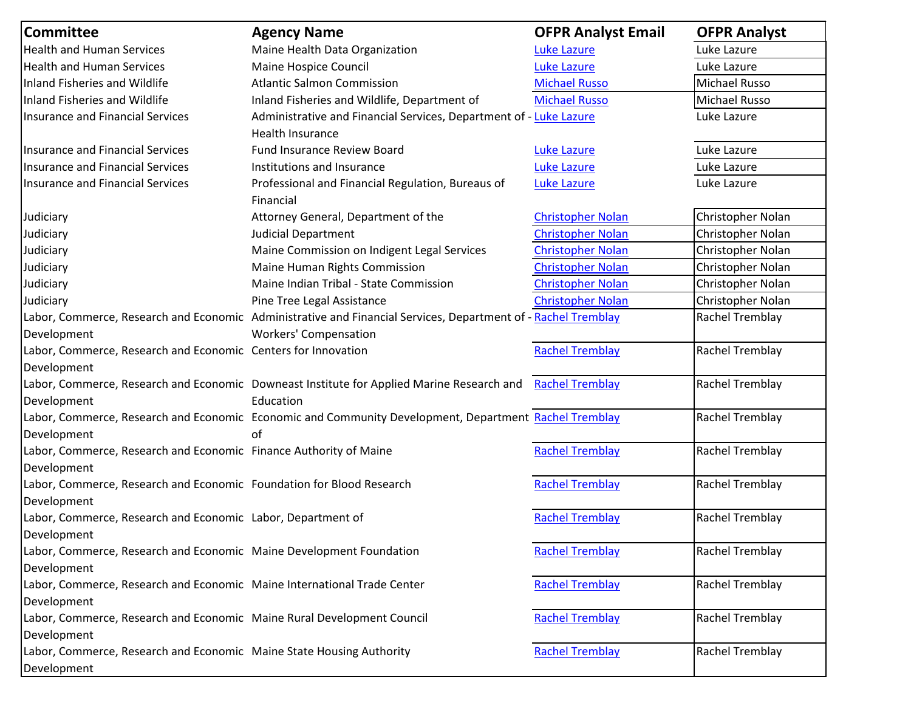| <b>Committee</b>                                                                       | <b>Agency Name</b>                                                                                            | <b>OFPR Analyst Email</b> | <b>OFPR Analyst</b> |
|----------------------------------------------------------------------------------------|---------------------------------------------------------------------------------------------------------------|---------------------------|---------------------|
| <b>Health and Human Services</b>                                                       | Maine Health Data Organization                                                                                | <b>Luke Lazure</b>        | Luke Lazure         |
| <b>Health and Human Services</b>                                                       | Maine Hospice Council                                                                                         | <b>Luke Lazure</b>        | Luke Lazure         |
| Inland Fisheries and Wildlife                                                          | <b>Atlantic Salmon Commission</b>                                                                             | <b>Michael Russo</b>      | Michael Russo       |
| Inland Fisheries and Wildlife                                                          | Inland Fisheries and Wildlife, Department of                                                                  | <b>Michael Russo</b>      | Michael Russo       |
| <b>Insurance and Financial Services</b>                                                | Administrative and Financial Services, Department of - Luke Lazure<br>Health Insurance                        |                           | Luke Lazure         |
| Insurance and Financial Services                                                       | Fund Insurance Review Board                                                                                   | <b>Luke Lazure</b>        | Luke Lazure         |
| <b>Insurance and Financial Services</b>                                                | Institutions and Insurance                                                                                    | <b>Luke Lazure</b>        | Luke Lazure         |
| <b>Insurance and Financial Services</b>                                                | Professional and Financial Regulation, Bureaus of<br>Financial                                                | <b>Luke Lazure</b>        | Luke Lazure         |
| Judiciary                                                                              | Attorney General, Department of the                                                                           | <b>Christopher Nolan</b>  | Christopher Nolan   |
| Judiciary                                                                              | <b>Judicial Department</b>                                                                                    | <b>Christopher Nolan</b>  | Christopher Nolan   |
| Judiciary                                                                              | Maine Commission on Indigent Legal Services                                                                   | <b>Christopher Nolan</b>  | Christopher Nolan   |
| Judiciary                                                                              | Maine Human Rights Commission                                                                                 | <b>Christopher Nolan</b>  | Christopher Nolan   |
| Judiciary                                                                              | Maine Indian Tribal - State Commission                                                                        | <b>Christopher Nolan</b>  | Christopher Nolan   |
| Judiciary                                                                              | Pine Tree Legal Assistance                                                                                    | <b>Christopher Nolan</b>  | Christopher Nolan   |
|                                                                                        | Labor, Commerce, Research and Economic Administrative and Financial Services, Department of - Rachel Tremblay |                           | Rachel Tremblay     |
| Development                                                                            | <b>Workers' Compensation</b>                                                                                  |                           |                     |
| Labor, Commerce, Research and Economic Centers for Innovation<br>Development           |                                                                                                               | <b>Rachel Tremblay</b>    | Rachel Tremblay     |
| Development                                                                            | Labor, Commerce, Research and Economic Downeast Institute for Applied Marine Research and<br>Education        | <b>Rachel Tremblay</b>    | Rachel Tremblay     |
| Development                                                                            | Labor, Commerce, Research and Economic Economic and Community Development, Department Rachel Tremblay<br>of   |                           | Rachel Tremblay     |
| Labor, Commerce, Research and Economic Finance Authority of Maine<br>Development       |                                                                                                               | <b>Rachel Tremblay</b>    | Rachel Tremblay     |
| Labor, Commerce, Research and Economic Foundation for Blood Research<br>Development    |                                                                                                               | <b>Rachel Tremblay</b>    | Rachel Tremblay     |
| Labor, Commerce, Research and Economic Labor, Department of<br>Development             |                                                                                                               | <b>Rachel Tremblay</b>    | Rachel Tremblay     |
| Labor, Commerce, Research and Economic Maine Development Foundation<br>Development     |                                                                                                               | <b>Rachel Tremblay</b>    | Rachel Tremblay     |
| Labor, Commerce, Research and Economic Maine International Trade Center<br>Development |                                                                                                               | <b>Rachel Tremblay</b>    | Rachel Tremblay     |
| Labor, Commerce, Research and Economic Maine Rural Development Council<br>Development  |                                                                                                               | <b>Rachel Tremblay</b>    | Rachel Tremblay     |
| Labor, Commerce, Research and Economic Maine State Housing Authority<br>Development    |                                                                                                               | <b>Rachel Tremblay</b>    | Rachel Tremblay     |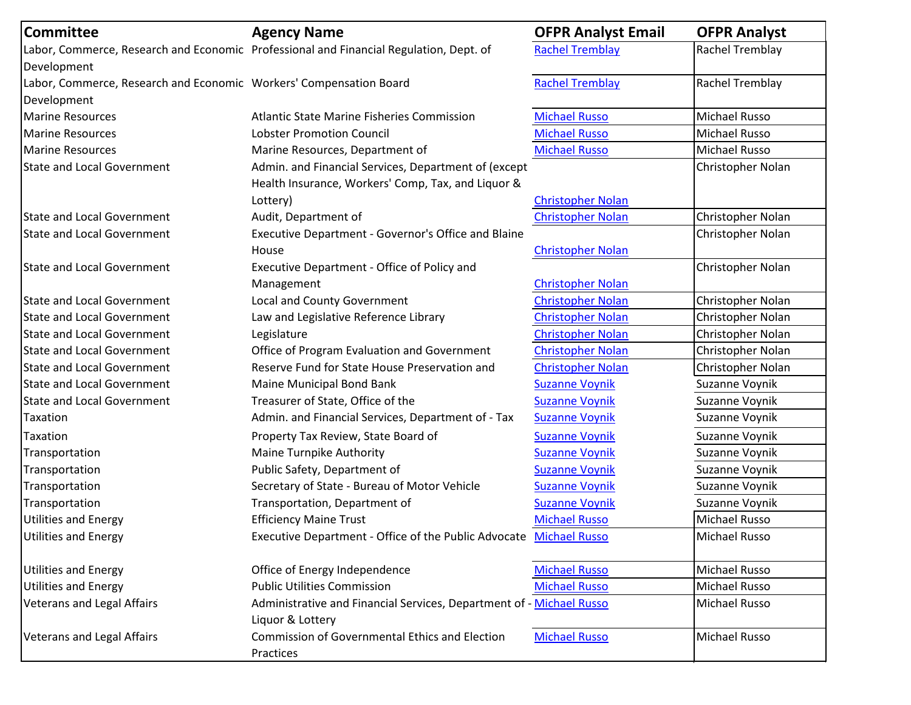| <b>Committee</b>                                                   | <b>Agency Name</b>                                                                       | <b>OFPR Analyst Email</b> | <b>OFPR Analyst</b>  |
|--------------------------------------------------------------------|------------------------------------------------------------------------------------------|---------------------------|----------------------|
|                                                                    | Labor, Commerce, Research and Economic Professional and Financial Regulation, Dept. of   | <b>Rachel Tremblay</b>    | Rachel Tremblay      |
| Development                                                        |                                                                                          |                           |                      |
| Labor, Commerce, Research and Economic Workers' Compensation Board |                                                                                          | <b>Rachel Tremblay</b>    | Rachel Tremblay      |
| Development                                                        |                                                                                          |                           |                      |
| <b>Marine Resources</b>                                            | <b>Atlantic State Marine Fisheries Commission</b>                                        | <b>Michael Russo</b>      | Michael Russo        |
| <b>Marine Resources</b>                                            | <b>Lobster Promotion Council</b>                                                         | <b>Michael Russo</b>      | Michael Russo        |
| <b>Marine Resources</b>                                            | Marine Resources, Department of                                                          | <b>Michael Russo</b>      | <b>Michael Russo</b> |
| <b>State and Local Government</b>                                  | Admin. and Financial Services, Department of (except                                     |                           | Christopher Nolan    |
|                                                                    | Health Insurance, Workers' Comp, Tax, and Liquor &                                       |                           |                      |
|                                                                    | Lottery)                                                                                 | <b>Christopher Nolan</b>  |                      |
| <b>State and Local Government</b>                                  | Audit, Department of                                                                     | <b>Christopher Nolan</b>  | Christopher Nolan    |
| <b>State and Local Government</b>                                  | Executive Department - Governor's Office and Blaine                                      |                           | Christopher Nolan    |
|                                                                    | House                                                                                    | <b>Christopher Nolan</b>  |                      |
| <b>State and Local Government</b>                                  | Executive Department - Office of Policy and                                              |                           | Christopher Nolan    |
|                                                                    | Management                                                                               | <b>Christopher Nolan</b>  |                      |
| <b>State and Local Government</b>                                  | Local and County Government                                                              | <b>Christopher Nolan</b>  | Christopher Nolan    |
| <b>State and Local Government</b>                                  | Law and Legislative Reference Library                                                    | <b>Christopher Nolan</b>  | Christopher Nolan    |
| <b>State and Local Government</b>                                  | Legislature                                                                              | <b>Christopher Nolan</b>  | Christopher Nolan    |
| <b>State and Local Government</b>                                  | Office of Program Evaluation and Government                                              | <b>Christopher Nolan</b>  | Christopher Nolan    |
| <b>State and Local Government</b>                                  | Reserve Fund for State House Preservation and                                            | <b>Christopher Nolan</b>  | Christopher Nolan    |
| <b>State and Local Government</b>                                  | Maine Municipal Bond Bank                                                                | <b>Suzanne Voynik</b>     | Suzanne Voynik       |
| <b>State and Local Government</b>                                  | Treasurer of State, Office of the                                                        | <b>Suzanne Voynik</b>     | Suzanne Voynik       |
| Taxation                                                           | Admin. and Financial Services, Department of - Tax                                       | <b>Suzanne Voynik</b>     | Suzanne Voynik       |
| Taxation                                                           | Property Tax Review, State Board of                                                      | <b>Suzanne Voynik</b>     | Suzanne Voynik       |
| Transportation                                                     | Maine Turnpike Authority                                                                 | <b>Suzanne Voynik</b>     | Suzanne Voynik       |
| Transportation                                                     | Public Safety, Department of                                                             | <b>Suzanne Voynik</b>     | Suzanne Voynik       |
| Transportation                                                     | Secretary of State - Bureau of Motor Vehicle                                             | <b>Suzanne Voynik</b>     | Suzanne Voynik       |
| Transportation                                                     | Transportation, Department of                                                            | <b>Suzanne Voynik</b>     | Suzanne Voynik       |
| <b>Utilities and Energy</b>                                        | <b>Efficiency Maine Trust</b>                                                            | <b>Michael Russo</b>      | <b>Michael Russo</b> |
| <b>Utilities and Energy</b>                                        | Executive Department - Office of the Public Advocate Michael Russo                       |                           | Michael Russo        |
| <b>Utilities and Energy</b>                                        | Office of Energy Independence                                                            | <b>Michael Russo</b>      | <b>Michael Russo</b> |
| <b>Utilities and Energy</b>                                        | <b>Public Utilities Commission</b>                                                       | <b>Michael Russo</b>      | Michael Russo        |
| <b>Veterans and Legal Affairs</b>                                  | Administrative and Financial Services, Department of - Michael Russo<br>Liquor & Lottery |                           | Michael Russo        |
| <b>Veterans and Legal Affairs</b>                                  | <b>Commission of Governmental Ethics and Election</b><br>Practices                       | <b>Michael Russo</b>      | Michael Russo        |